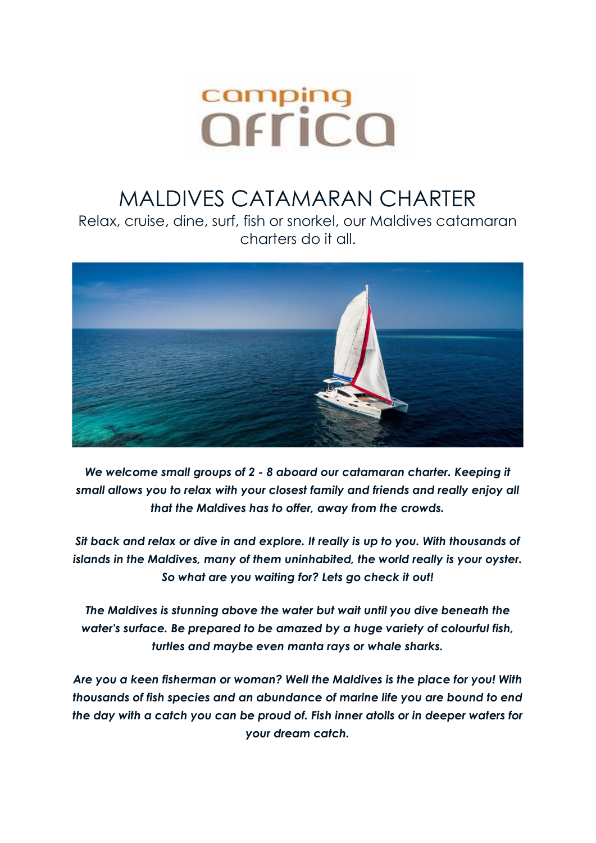# camping arrica

# MALDIVES CATAMARAN CHARTER

Relax, cruise, dine, surf, fish or snorkel, our Maldives catamaran charters do it all.



*We welcome small groups of 2 - 8 aboard our catamaran charter. Keeping it small allows you to relax with your closest family and friends and really enjoy all that the Maldives has to offer, away from the crowds.*

*Sit back and relax or dive in and explore. It really is up to you. With thousands of islands in the Maldives, many of them uninhabited, the world really is your oyster. So what are you waiting for? Lets go check it out!*

*The Maldives is stunning above the water but wait until you dive beneath the water's surface. Be prepared to be amazed by a huge variety of colourful fish, turtles and maybe even manta rays or whale sharks.*

*Are you a keen fisherman or woman? Well the Maldives is the place for you! With thousands of fish species and an abundance of marine life you are bound to end the day with a catch you can be proud of. Fish inner atolls or in deeper waters for your dream catch.*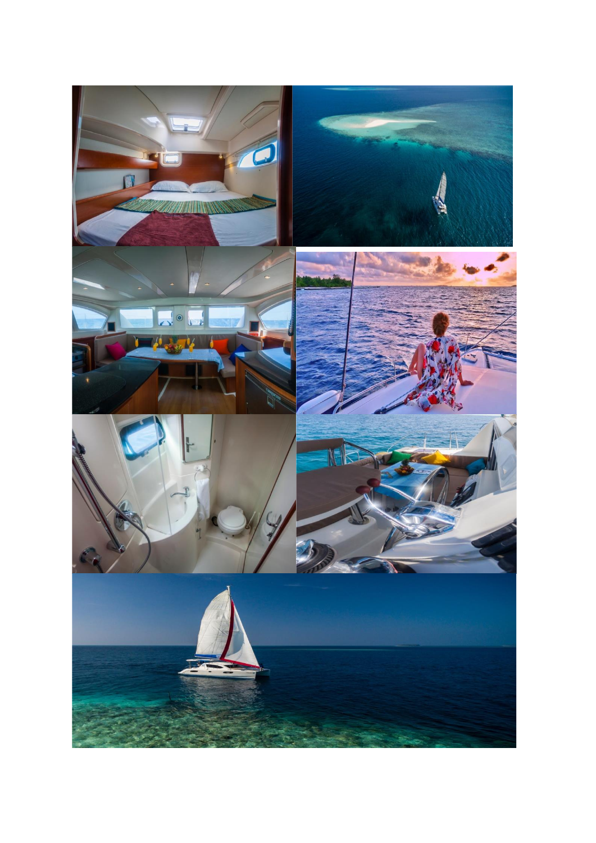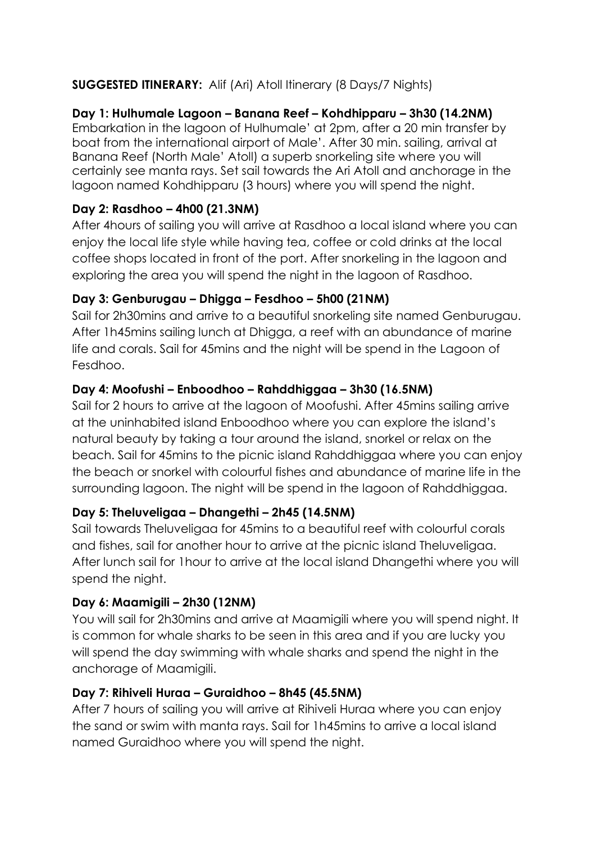## **SUGGESTED ITINERARY:** Alif (Ari) Atoll Itinerary (8 Days/7 Nights)

#### **Day 1: Hulhumale Lagoon – Banana Reef – Kohdhipparu – 3h30 (14.2NM)** Embarkation in the lagoon of Hulhumale' at 2pm, after a 20 min transfer by boat from the international airport of Male'. After 30 min. sailing, arrival at Banana Reef (North Male' Atoll) a superb snorkeling site where you will certainly see manta rays. Set sail towards the Ari Atoll and anchorage in the lagoon named Kohdhipparu (3 hours) where you will spend the night.

## **Day 2: Rasdhoo – 4h00 (21.3NM)**

After 4hours of sailing you will arrive at Rasdhoo a local island where you can enjoy the local life style while having tea, coffee or cold drinks at the local coffee shops located in front of the port. After snorkeling in the lagoon and exploring the area you will spend the night in the lagoon of Rasdhoo.

## **Day 3: Genburugau – Dhigga – Fesdhoo – 5h00 (21NM)**

Sail for 2h30mins and arrive to a beautiful snorkeling site named Genburugau. After 1h45mins sailing lunch at Dhigga, a reef with an abundance of marine life and corals. Sail for 45mins and the night will be spend in the Lagoon of Fesdhoo.

## **Day 4: Moofushi – Enboodhoo – Rahddhiggaa – 3h30 (16.5NM)**

Sail for 2 hours to arrive at the lagoon of Moofushi. After 45mins sailing arrive at the uninhabited island Enboodhoo where you can explore the island's natural beauty by taking a tour around the island, snorkel or relax on the beach. Sail for 45mins to the picnic island Rahddhiggaa where you can enjoy the beach or snorkel with colourful fishes and abundance of marine life in the surrounding lagoon. The night will be spend in the lagoon of Rahddhiggaa.

# **Day 5: Theluveligaa – Dhangethi – 2h45 (14.5NM)**

Sail towards Theluveligaa for 45mins to a beautiful reef with colourful corals and fishes, sail for another hour to arrive at the picnic island Theluveligaa. After lunch sail for 1hour to arrive at the local island Dhangethi where you will spend the night.

# **Day 6: Maamigili – 2h30 (12NM)**

You will sail for 2h30mins and arrive at Maamigili where you will spend night. It is common for whale sharks to be seen in this area and if you are lucky you will spend the day swimming with whale sharks and spend the night in the anchorage of Maamigili.

#### **Day 7: Rihiveli Huraa – Guraidhoo – 8h45 (45.5NM)**

After 7 hours of sailing you will arrive at Rihiveli Huraa where you can enjoy the sand or swim with manta rays. Sail for 1h45mins to arrive a local island named Guraidhoo where you will spend the night.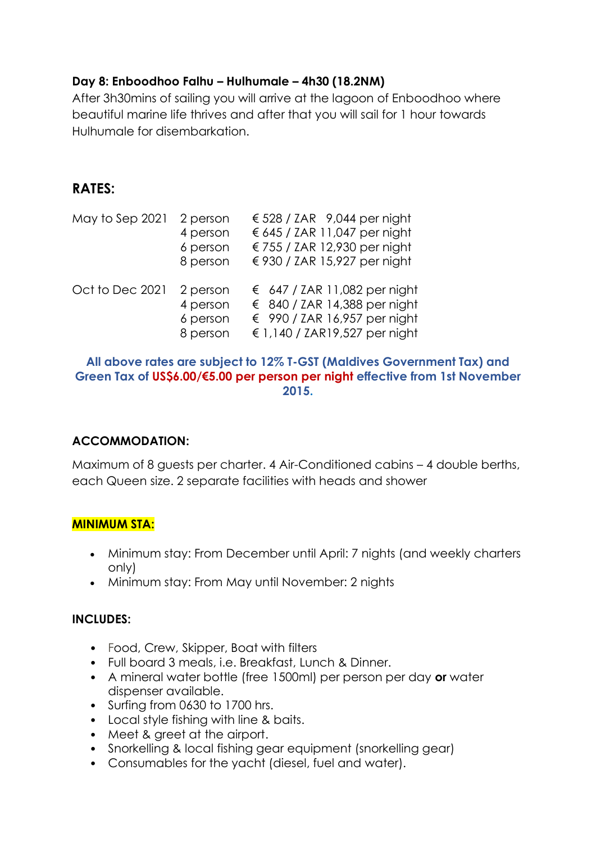#### **Day 8: Enboodhoo Falhu – Hulhumale – 4h30 (18.2NM)**

After 3h30mins of sailing you will arrive at the lagoon of Enboodhoo where beautiful marine life thrives and after that you will sail for 1 hour towards Hulhumale for disembarkation.

# **RATES:**

| May to Sep 2021 | 2 person<br>4 person<br>6 person<br>8 person | $\leq 528$ / ZAR 9,044 per night<br>$645$ / ZAR 11,047 per night<br>€ 755 / ZAR 12,930 per night<br>€ 930 / ZAR 15,927 per night            |
|-----------------|----------------------------------------------|---------------------------------------------------------------------------------------------------------------------------------------------|
| Oct to Dec 2021 | 2 person<br>4 person<br>6 person<br>8 person | $647 / ZAR$ 11,082 per night<br>$\leq 840$ / ZAR 14,388 per night<br>$\epsilon$ 990 / ZAR 16,957 per night<br>€ 1,140 / ZAR19,527 per night |

#### **All above rates are subject to 12% T-GST (Maldives Government Tax) and Green Tax of US\$6.00/€5.00 per person per night effective from 1st November 2015.**

#### **ACCOMMODATION:**

Maximum of 8 guests per charter. 4 Air-Conditioned cabins – 4 double berths, each Queen size. 2 separate facilities with heads and shower

#### **MINIMUM STA:**

- Minimum stay: From December until April: 7 nights (and weekly charters only)
- Minimum stay: From May until November: 2 nights

#### **INCLUDES:**

- Food, Crew, Skipper, Boat with filters
- Full board 3 meals, i.e. Breakfast, Lunch & Dinner.
- A mineral water bottle (free 1500ml) per person per day **or** water dispenser available.
- Surfing from 0630 to 1700 hrs.
- Local style fishing with line & baits.
- Meet & greet at the airport.
- Snorkelling & local fishing gear equipment (snorkelling gear)
- Consumables for the yacht (diesel, fuel and water).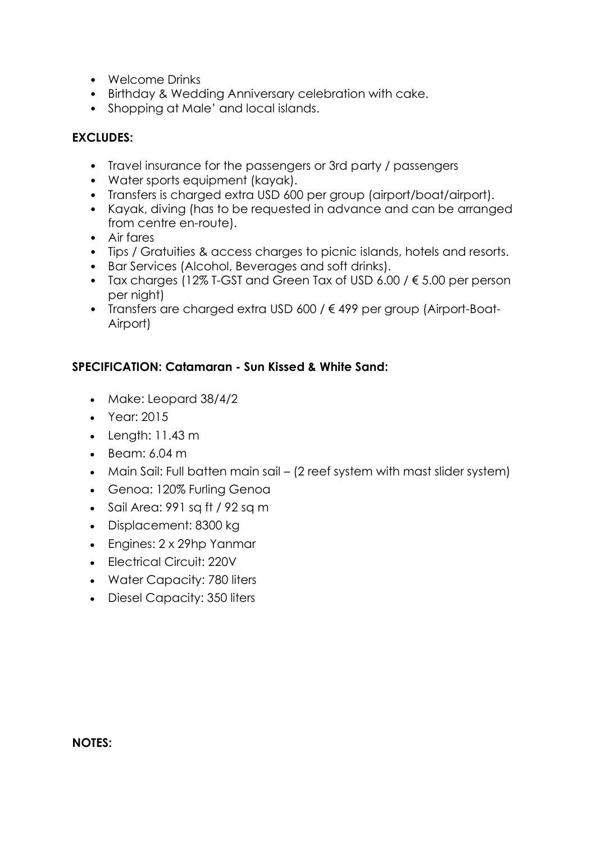- Welcome Drinks
- Birthday & Wedding Anniversary celebration with cake.
- Shopping at Male' and local islands.

#### **EXCLUDES:**

- Travel insurance for the passengers or 3rd party / passengers
- Water sports equipment (kayak).
- Transfers is charged extra USD 600 per group (airport/boat/airport).
- Kayak, diving (has to be requested in advance and can be arranged from centre en-route).
- Air fares
- Tips / Gratuities & access charges to picnic islands, hotels and resorts.
- Bar Services (Alcohol, Beverages and soft drinks).
- Tax charges (12% T-GST and Green Tax of USD 6.00 /  $\epsilon$  5.00 per person per night)
- Transfers are charged extra USD 600 / € 499 per group (Airport-Boat-Airport)

#### **SPECIFICATION: Catamaran - Sun Kissed & White Sand:**

- Make: Leopard 38/4/2
- Year: 2015
- $\bullet$  Length: 11.43 m
- Beam: 6.04 m
- Main Sail: Full batten main sail (2 reef system with mast slider system)
- Genoa: 120% Furling Genoa
- Sail Area: 991 sq ft / 92 sq m
- Displacement: 8300 kg
- Engines: 2 x 29hp Yanmar
- Electrical Circuit: 220V
- Water Capacity: 780 liters
- Diesel Capacity: 350 liters

**NOTES:**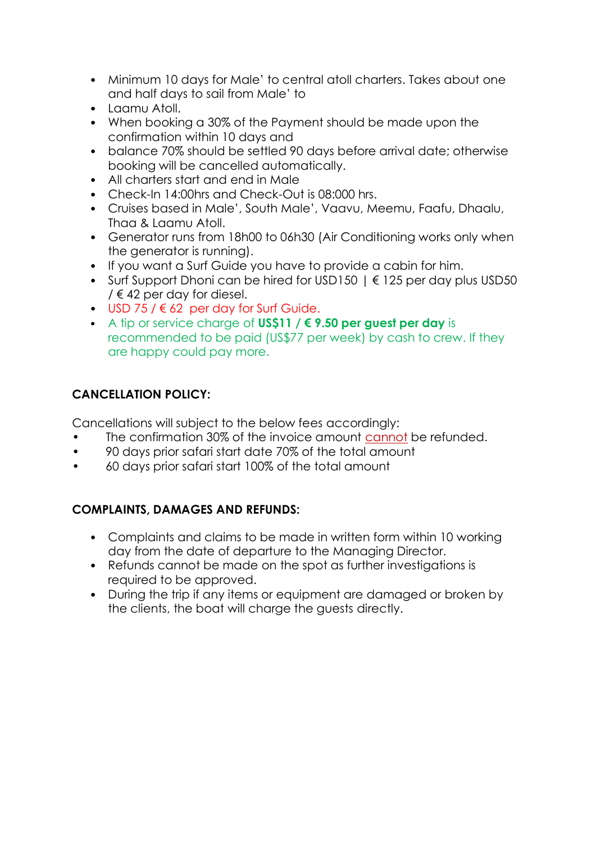- Minimum 10 days for Male' to central atoll charters. Takes about one and half days to sail from Male' to
- Laamu Atoll.
- When booking a 30% of the Payment should be made upon the confirmation within 10 days and
- balance 70% should be settled 90 days before arrival date; otherwise booking will be cancelled automatically.
- All charters start and end in Male
- Check-In 14:00hrs and Check-Out is 08:000 hrs.
- Cruises based in Male', South Male', Vaavu, Meemu, Faafu, Dhaalu, Thaa & Laamu Atoll.
- Generator runs from 18h00 to 06h30 (Air Conditioning works only when the generator is running).
- If you want a Surf Guide you have to provide a cabin for him.
- Surf Support Dhoni can be hired for USD150  $\vert \in 125$  per day plus USD50  $/$   $\in$  42 per day for diesel.
- USD 75 /  $€ 62$  per day for Surf Guide.
- A tip or service charge of **US\$11 / € 9.50 per guest per day** is recommended to be paid (US\$77 per week) by cash to crew. If they are happy could pay more.

#### **CANCELLATION POLICY:**

Cancellations will subject to the below fees accordingly:

- The confirmation 30% of the invoice amount cannot be refunded.
- 90 days prior safari start date 70% of the total amount
- 60 days prior safari start 100% of the total amount

#### **COMPLAINTS, DAMAGES AND REFUNDS:**

- Complaints and claims to be made in written form within 10 working day from the date of departure to the Managing Director.
- Refunds cannot be made on the spot as further investigations is required to be approved.
- During the trip if any items or equipment are damaged or broken by the clients, the boat will charge the guests directly.